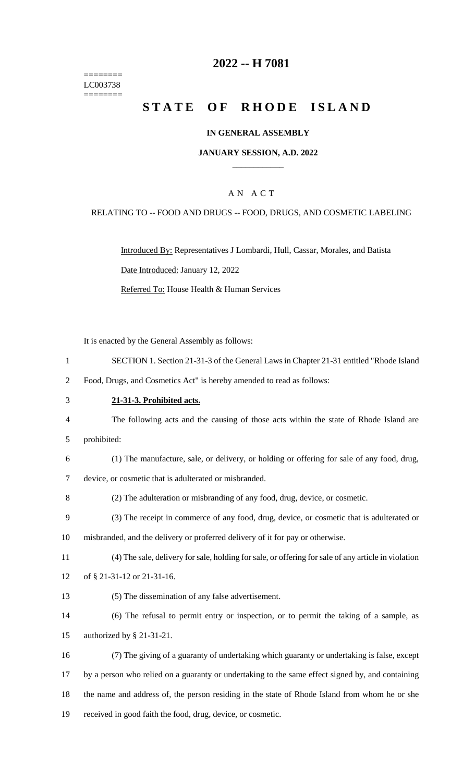======== LC003738 ========

## **-- H 7081**

# **STATE OF RHODE ISLAND**

### **IN GENERAL ASSEMBLY**

### **JANUARY SESSION, A.D. 2022 \_\_\_\_\_\_\_\_\_\_\_\_**

### A N A C T

#### RELATING TO -- FOOD AND DRUGS -- FOOD, DRUGS, AND COSMETIC LABELING

Introduced By: Representatives J Lombardi, Hull, Cassar, Morales, and Batista Date Introduced: January 12, 2022 Referred To: House Health & Human Services

It is enacted by the General Assembly as follows:

SECTION 1. Section 21-31-3 of the General Laws in Chapter 21-31 entitled "Rhode Island

Food, Drugs, and Cosmetics Act" is hereby amended to read as follows:

## **21-31-3. Prohibited acts.**

- The following acts and the causing of those acts within the state of Rhode Island are prohibited:
- 
- (1) The manufacture, sale, or delivery, or holding or offering for sale of any food, drug, device, or cosmetic that is adulterated or misbranded.
- (2) The adulteration or misbranding of any food, drug, device, or cosmetic.
- (3) The receipt in commerce of any food, drug, device, or cosmetic that is adulterated or misbranded, and the delivery or proferred delivery of it for pay or otherwise.
- 
- (4) The sale, delivery for sale, holding for sale, or offering for sale of any article in violation
- of § 21-31-12 or 21-31-16.
- (5) The dissemination of any false advertisement.
- (6) The refusal to permit entry or inspection, or to permit the taking of a sample, as authorized by § 21-31-21.
- (7) The giving of a guaranty of undertaking which guaranty or undertaking is false, except by a person who relied on a guaranty or undertaking to the same effect signed by, and containing the name and address of, the person residing in the state of Rhode Island from whom he or she received in good faith the food, drug, device, or cosmetic.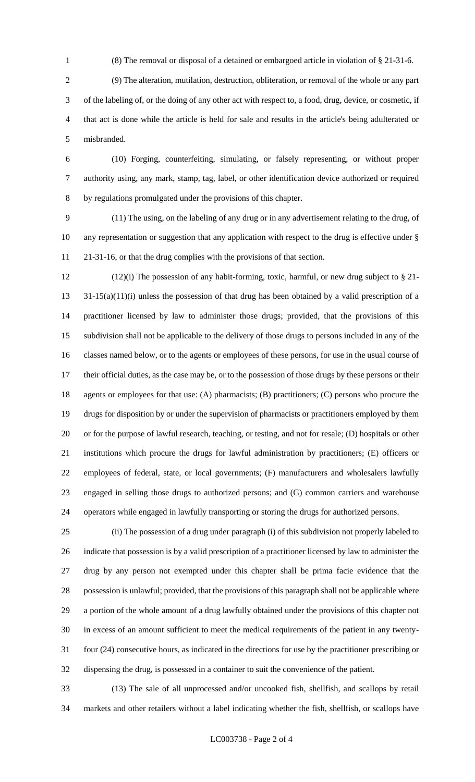(8) The removal or disposal of a detained or embargoed article in violation of § 21-31-6.

 (9) The alteration, mutilation, destruction, obliteration, or removal of the whole or any part of the labeling of, or the doing of any other act with respect to, a food, drug, device, or cosmetic, if that act is done while the article is held for sale and results in the article's being adulterated or misbranded.

 (10) Forging, counterfeiting, simulating, or falsely representing, or without proper authority using, any mark, stamp, tag, label, or other identification device authorized or required by regulations promulgated under the provisions of this chapter.

 (11) The using, on the labeling of any drug or in any advertisement relating to the drug, of any representation or suggestion that any application with respect to the drug is effective under § 21-31-16, or that the drug complies with the provisions of that section.

 (12)(i) The possession of any habit-forming, toxic, harmful, or new drug subject to § 21- 31-15(a)(11)(i) unless the possession of that drug has been obtained by a valid prescription of a practitioner licensed by law to administer those drugs; provided, that the provisions of this subdivision shall not be applicable to the delivery of those drugs to persons included in any of the classes named below, or to the agents or employees of these persons, for use in the usual course of their official duties, as the case may be, or to the possession of those drugs by these persons or their agents or employees for that use: (A) pharmacists; (B) practitioners; (C) persons who procure the drugs for disposition by or under the supervision of pharmacists or practitioners employed by them or for the purpose of lawful research, teaching, or testing, and not for resale; (D) hospitals or other institutions which procure the drugs for lawful administration by practitioners; (E) officers or employees of federal, state, or local governments; (F) manufacturers and wholesalers lawfully engaged in selling those drugs to authorized persons; and (G) common carriers and warehouse operators while engaged in lawfully transporting or storing the drugs for authorized persons.

 (ii) The possession of a drug under paragraph (i) of this subdivision not properly labeled to indicate that possession is by a valid prescription of a practitioner licensed by law to administer the drug by any person not exempted under this chapter shall be prima facie evidence that the possession is unlawful; provided, that the provisions of this paragraph shall not be applicable where a portion of the whole amount of a drug lawfully obtained under the provisions of this chapter not in excess of an amount sufficient to meet the medical requirements of the patient in any twenty- four (24) consecutive hours, as indicated in the directions for use by the practitioner prescribing or dispensing the drug, is possessed in a container to suit the convenience of the patient.

 (13) The sale of all unprocessed and/or uncooked fish, shellfish, and scallops by retail markets and other retailers without a label indicating whether the fish, shellfish, or scallops have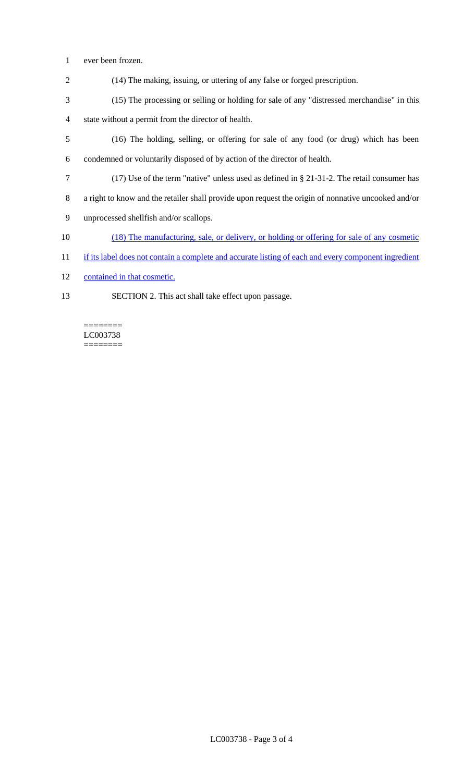- 1 ever been frozen.
- 2 (14) The making, issuing, or uttering of any false or forged prescription.
- 3 (15) The processing or selling or holding for sale of any "distressed merchandise" in this 4 state without a permit from the director of health.
- 5 (16) The holding, selling, or offering for sale of any food (or drug) which has been
- 6 condemned or voluntarily disposed of by action of the director of health.
- 7 (17) Use of the term "native" unless used as defined in § 21-31-2. The retail consumer has
- 8 a right to know and the retailer shall provide upon request the origin of nonnative uncooked and/or
- 9 unprocessed shellfish and/or scallops.
- 10 (18) The manufacturing, sale, or delivery, or holding or offering for sale of any cosmetic
- 11 if its label does not contain a complete and accurate listing of each and every component ingredient
- 12 contained in that cosmetic.

 $=$ 

13 SECTION 2. This act shall take effect upon passage.

LC003738 ========